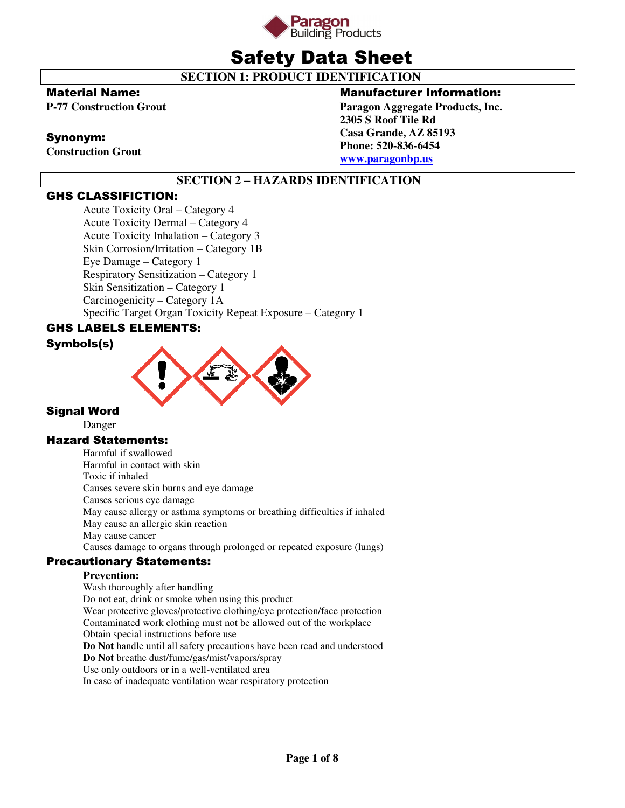

# Safety Data Sheet

 **SECTION 1: PRODUCT IDENTIFICATION** 

# Material Name:

**P-77 Construction Grout** 

# Synonym:

**Construction Grout** 

# Manufacturer Information:

**Paragon Aggregate Products, Inc. 2305 S Roof Tile Rd Casa Grande, AZ 85193 Phone: 520-836-6454 www.paragonbp.us**

# **SECTION 2 – HAZARDS IDENTIFICATION**

# GHS CLASSIFICTION:

Acute Toxicity Oral – Category 4 Acute Toxicity Dermal – Category 4 Acute Toxicity Inhalation – Category 3 Skin Corrosion/Irritation – Category 1B Eye Damage – Category 1 Respiratory Sensitization – Category 1 Skin Sensitization – Category 1 Carcinogenicity – Category 1A Specific Target Organ Toxicity Repeat Exposure – Category 1

# GHS LABELS ELEMENTS:

# Symbols(s)



# Signal Word

Danger

# Hazard Statements:

Harmful if swallowed Harmful in contact with skin Toxic if inhaled Causes severe skin burns and eye damage Causes serious eye damage May cause allergy or asthma symptoms or breathing difficulties if inhaled May cause an allergic skin reaction May cause cancer Causes damage to organs through prolonged or repeated exposure (lungs)

# Precautionary Statements:

# **Prevention:**

Wash thoroughly after handling Do not eat, drink or smoke when using this product Wear protective gloves/protective clothing/eye protection/face protection Contaminated work clothing must not be allowed out of the workplace Obtain special instructions before use **Do Not** handle until all safety precautions have been read and understood **Do Not** breathe dust/fume/gas/mist/vapors/spray Use only outdoors or in a well-ventilated area In case of inadequate ventilation wear respiratory protection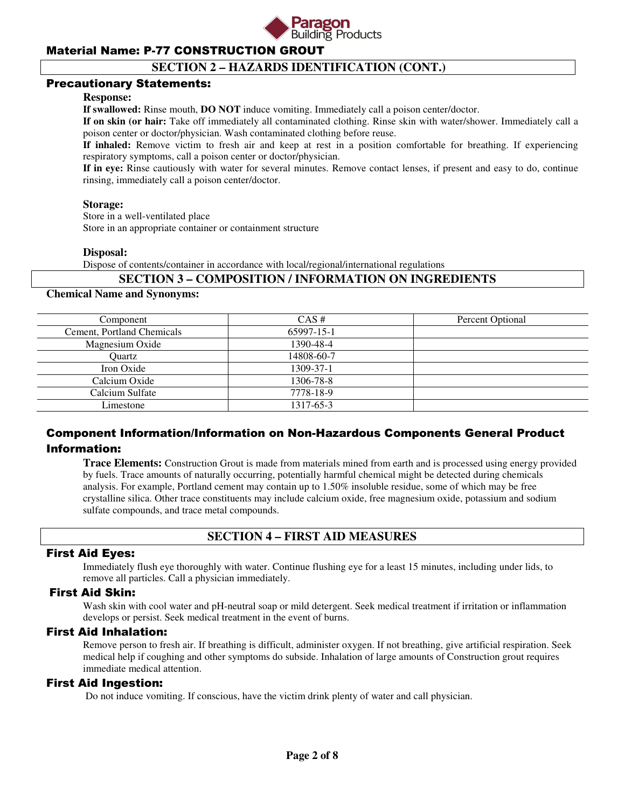

# **SECTION 2 – HAZARDS IDENTIFICATION (CONT.)**

#### Precautionary Statements:

#### **Response:**

**If swallowed:** Rinse mouth, **DO NOT** induce vomiting. Immediately call a poison center/doctor.

**If on skin (or hair:** Take off immediately all contaminated clothing. Rinse skin with water/shower. Immediately call a poison center or doctor/physician. Wash contaminated clothing before reuse.

**If inhaled:** Remove victim to fresh air and keep at rest in a position comfortable for breathing. If experiencing respiratory symptoms, call a poison center or doctor/physician.

**If in eye:** Rinse cautiously with water for several minutes. Remove contact lenses, if present and easy to do, continue rinsing, immediately call a poison center/doctor.

#### **Storage:**

 Store in a well-ventilated place Store in an appropriate container or containment structure

#### **Disposal:**

Dispose of contents/container in accordance with local/regional/international regulations

#### **SECTION 3 – COMPOSITION / INFORMATION ON INGREDIENTS**

#### **Chemical Name and Synonyms:**

| Component                  | $CAS \#$   | Percent Optional |
|----------------------------|------------|------------------|
| Cement, Portland Chemicals | 65997-15-1 |                  |
| Magnesium Oxide            | 1390-48-4  |                  |
| Ouartz                     | 14808-60-7 |                  |
| Iron Oxide                 | 1309-37-1  |                  |
| Calcium Oxide              | 1306-78-8  |                  |
| Calcium Sulfate            | 7778-18-9  |                  |
| Limestone                  | 1317-65-3  |                  |

# Component Information/Information on Non-Hazardous Components General Product Information:

**Trace Elements:** Construction Grout is made from materials mined from earth and is processed using energy provided by fuels. Trace amounts of naturally occurring, potentially harmful chemical might be detected during chemicals analysis. For example, Portland cement may contain up to 1.50% insoluble residue, some of which may be free crystalline silica. Other trace constituents may include calcium oxide, free magnesium oxide, potassium and sodium sulfate compounds, and trace metal compounds.

# **SECTION 4 – FIRST AID MEASURES**

#### First Aid Eyes:

Immediately flush eye thoroughly with water. Continue flushing eye for a least 15 minutes, including under lids, to remove all particles. Call a physician immediately.

#### First Aid Skin:

Wash skin with cool water and pH-neutral soap or mild detergent. Seek medical treatment if irritation or inflammation develops or persist. Seek medical treatment in the event of burns.

#### First Aid Inhalation:

Remove person to fresh air. If breathing is difficult, administer oxygen. If not breathing, give artificial respiration. Seek medical help if coughing and other symptoms do subside. Inhalation of large amounts of Construction grout requires immediate medical attention.

#### First Aid Ingestion:

Do not induce vomiting. If conscious, have the victim drink plenty of water and call physician.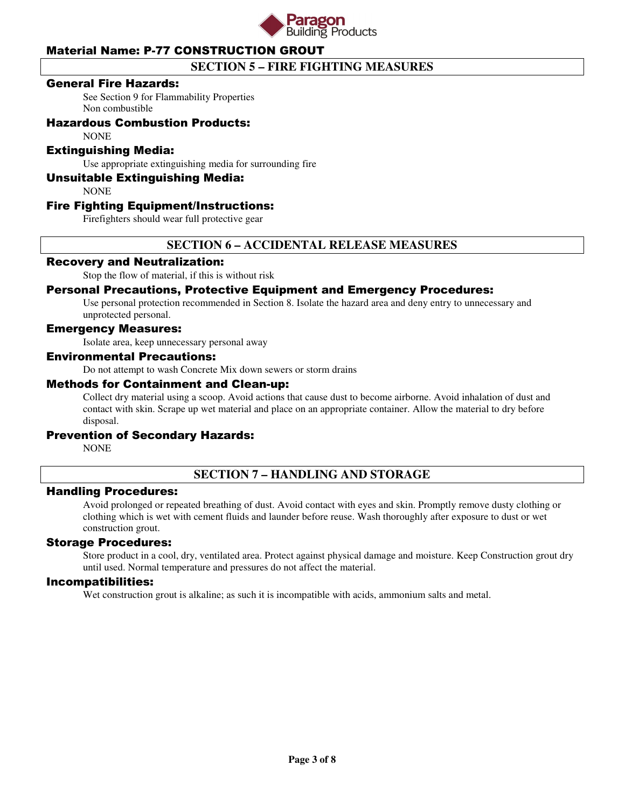

# **SECTION 5 – FIRE FIGHTING MEASURES**

#### General Fire Hazards:

See Section 9 for Flammability Properties Non combustible

# Hazardous Combustion Products:

**NONE** 

#### Extinguishing Media:

Use appropriate extinguishing media for surrounding fire

#### Unsuitable Extinguishing Media:

**NONE** 

#### Fire Fighting Equipment/Instructions:

Firefighters should wear full protective gear

# **SECTION 6 – ACCIDENTAL RELEASE MEASURES**

#### Recovery and Neutralization:

Stop the flow of material, if this is without risk

#### Personal Precautions, Protective Equipment and Emergency Procedures:

Use personal protection recommended in Section 8. Isolate the hazard area and deny entry to unnecessary and unprotected personal.

# Emergency Measures:

Isolate area, keep unnecessary personal away

#### Environmental Precautions:

Do not attempt to wash Concrete Mix down sewers or storm drains

#### Methods for Containment and Clean-up:

Collect dry material using a scoop. Avoid actions that cause dust to become airborne. Avoid inhalation of dust and contact with skin. Scrape up wet material and place on an appropriate container. Allow the material to dry before disposal.

#### Prevention of Secondary Hazards:

NONE

# **SECTION 7 – HANDLING AND STORAGE**

#### Handling Procedures:

Avoid prolonged or repeated breathing of dust. Avoid contact with eyes and skin. Promptly remove dusty clothing or clothing which is wet with cement fluids and launder before reuse. Wash thoroughly after exposure to dust or wet construction grout.

#### Storage Procedures:

Store product in a cool, dry, ventilated area. Protect against physical damage and moisture. Keep Construction grout dry until used. Normal temperature and pressures do not affect the material.

#### Incompatibilities:

Wet construction grout is alkaline; as such it is incompatible with acids, ammonium salts and metal.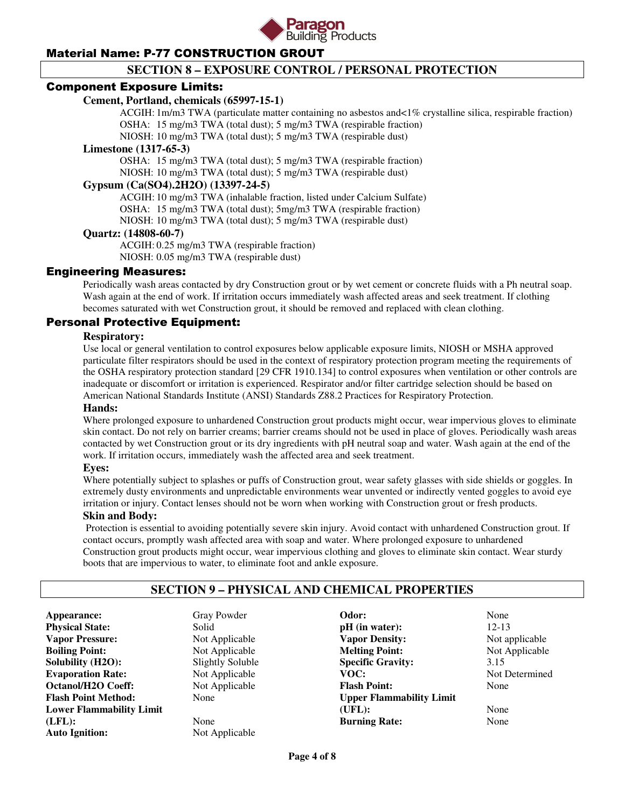

# **SECTION 8 – EXPOSURE CONTROL / PERSONAL PROTECTION**

#### Component Exposure Limits:

#### **Cement, Portland, chemicals (65997-15-1)**

 ACGIH: 1m/m3 TWA (particulate matter containing no asbestos and<1% crystalline silica, respirable fraction) OSHA: 15 mg/m3 TWA (total dust); 5 mg/m3 TWA (respirable fraction)

NIOSH: 10 mg/m3 TWA (total dust); 5 mg/m3 TWA (respirable dust)

#### **Limestone (1317-65-3)**

 OSHA: 15 mg/m3 TWA (total dust); 5 mg/m3 TWA (respirable fraction) NIOSH: 10 mg/m3 TWA (total dust); 5 mg/m3 TWA (respirable dust)

#### **Gypsum (Ca(SO4).2H2O) (13397-24-5)**

 ACGIH: 10 mg/m3 TWA (inhalable fraction, listed under Calcium Sulfate) OSHA: 15 mg/m3 TWA (total dust); 5mg/m3 TWA (respirable fraction) NIOSH: 10 mg/m3 TWA (total dust); 5 mg/m3 TWA (respirable dust)

#### **Quartz: (14808-60-7)**

 ACGIH: 0.25 mg/m3 TWA (respirable fraction) NIOSH: 0.05 mg/m3 TWA (respirable dust)

#### Engineering Measures:

Periodically wash areas contacted by dry Construction grout or by wet cement or concrete fluids with a Ph neutral soap. Wash again at the end of work. If irritation occurs immediately wash affected areas and seek treatment. If clothing becomes saturated with wet Construction grout, it should be removed and replaced with clean clothing.

#### Personal Protective Equipment:

#### **Respiratory:**

Use local or general ventilation to control exposures below applicable exposure limits, NIOSH or MSHA approved particulate filter respirators should be used in the context of respiratory protection program meeting the requirements of the OSHA respiratory protection standard [29 CFR 1910.134] to control exposures when ventilation or other controls are inadequate or discomfort or irritation is experienced. Respirator and/or filter cartridge selection should be based on American National Standards Institute (ANSI) Standards Z88.2 Practices for Respiratory Protection.

#### **Hands:**

Where prolonged exposure to unhardened Construction grout products might occur, wear impervious gloves to eliminate skin contact. Do not rely on barrier creams; barrier creams should not be used in place of gloves. Periodically wash areas contacted by wet Construction grout or its dry ingredients with pH neutral soap and water. Wash again at the end of the work. If irritation occurs, immediately wash the affected area and seek treatment.

#### **Eyes:**

Where potentially subject to splashes or puffs of Construction grout, wear safety glasses with side shields or goggles. In extremely dusty environments and unpredictable environments wear unvented or indirectly vented goggles to avoid eye irritation or injury. Contact lenses should not be worn when working with Construction grout or fresh products.

#### **Skin and Body:**

Protection is essential to avoiding potentially severe skin injury. Avoid contact with unhardened Construction grout. If contact occurs, promptly wash affected area with soap and water. Where prolonged exposure to unhardened Construction grout products might occur, wear impervious clothing and gloves to eliminate skin contact. Wear sturdy boots that are impervious to water, to eliminate foot and ankle exposure.

# **SECTION 9 – PHYSICAL AND CHEMICAL PROPERTIES**

**Appearance:** Gray Powder **Physical State:** Solid **Vapor Pressure:** Not Applicable **Boiling Point:** Not Applicable **Solubility (H2O):** Slightly Soluble **Evaporation Rate:** Not Applicable **Octanol/H2O Coeff:** Not Applicable **Flash Point Method:** None **Lower Flammability Limit (LFL):** None **Auto Ignition:** Not Applicable

**Odor:** None **pH** (in water): 12-13 **Vapor Density:** Not applicable **Melting Point:** Not Applicable **Specific Gravity:** 3.15<br> **VOC:** Not 1 **Flash Point:** None **Upper Flammability Limit (UFL):** None **Burning Rate:** None

**Not Determined**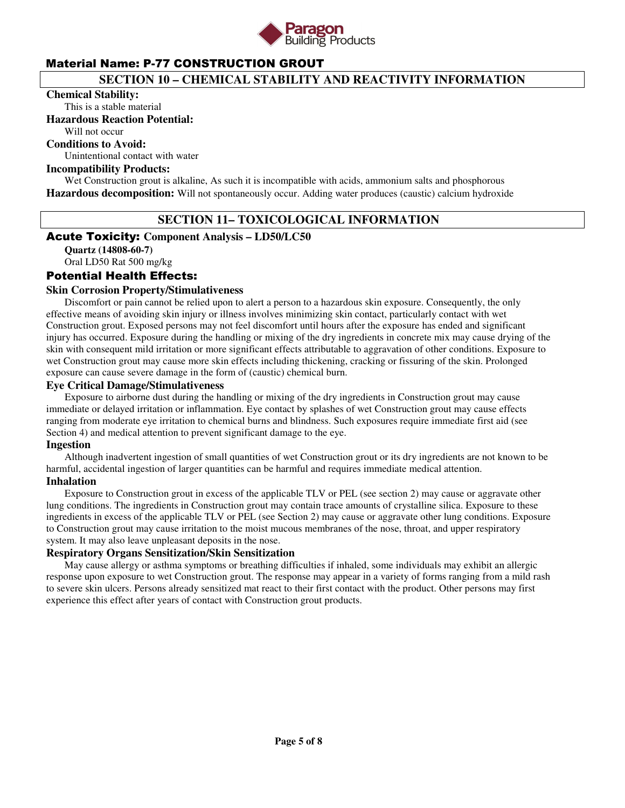

# **SECTION 10 – CHEMICAL STABILITY AND REACTIVITY INFORMATION**

#### **Chemical Stability:**

This is a stable material

#### **Hazardous Reaction Potential:**

Will not occur

# **Conditions to Avoid:**

Unintentional contact with water

#### **Incompatibility Products:**

Wet Construction grout is alkaline, As such it is incompatible with acids, ammonium salts and phosphorous **Hazardous decomposition:** Will not spontaneously occur. Adding water produces (caustic) calcium hydroxide

# **SECTION 11– TOXICOLOGICAL INFORMATION**

# Acute Toxicity: **Component Analysis – LD50/LC50**

**Quartz (14808-60-7)**  Oral LD50 Rat 500 mg/kg

# Potential Health Effects:

#### **Skin Corrosion Property/Stimulativeness**

 Discomfort or pain cannot be relied upon to alert a person to a hazardous skin exposure. Consequently, the only effective means of avoiding skin injury or illness involves minimizing skin contact, particularly contact with wet Construction grout. Exposed persons may not feel discomfort until hours after the exposure has ended and significant injury has occurred. Exposure during the handling or mixing of the dry ingredients in concrete mix may cause drying of the skin with consequent mild irritation or more significant effects attributable to aggravation of other conditions. Exposure to wet Construction grout may cause more skin effects including thickening, cracking or fissuring of the skin. Prolonged exposure can cause severe damage in the form of (caustic) chemical burn.

#### **Eye Critical Damage/Stimulativeness**

 Exposure to airborne dust during the handling or mixing of the dry ingredients in Construction grout may cause immediate or delayed irritation or inflammation. Eye contact by splashes of wet Construction grout may cause effects ranging from moderate eye irritation to chemical burns and blindness. Such exposures require immediate first aid (see Section 4) and medical attention to prevent significant damage to the eye.

#### **Ingestion**

 Although inadvertent ingestion of small quantities of wet Construction grout or its dry ingredients are not known to be harmful, accidental ingestion of larger quantities can be harmful and requires immediate medical attention. **Inhalation** 

 Exposure to Construction grout in excess of the applicable TLV or PEL (see section 2) may cause or aggravate other lung conditions. The ingredients in Construction grout may contain trace amounts of crystalline silica. Exposure to these ingredients in excess of the applicable TLV or PEL (see Section 2) may cause or aggravate other lung conditions. Exposure to Construction grout may cause irritation to the moist mucous membranes of the nose, throat, and upper respiratory system. It may also leave unpleasant deposits in the nose.

# **Respiratory Organs Sensitization/Skin Sensitization**

 May cause allergy or asthma symptoms or breathing difficulties if inhaled, some individuals may exhibit an allergic response upon exposure to wet Construction grout. The response may appear in a variety of forms ranging from a mild rash to severe skin ulcers. Persons already sensitized mat react to their first contact with the product. Other persons may first experience this effect after years of contact with Construction grout products.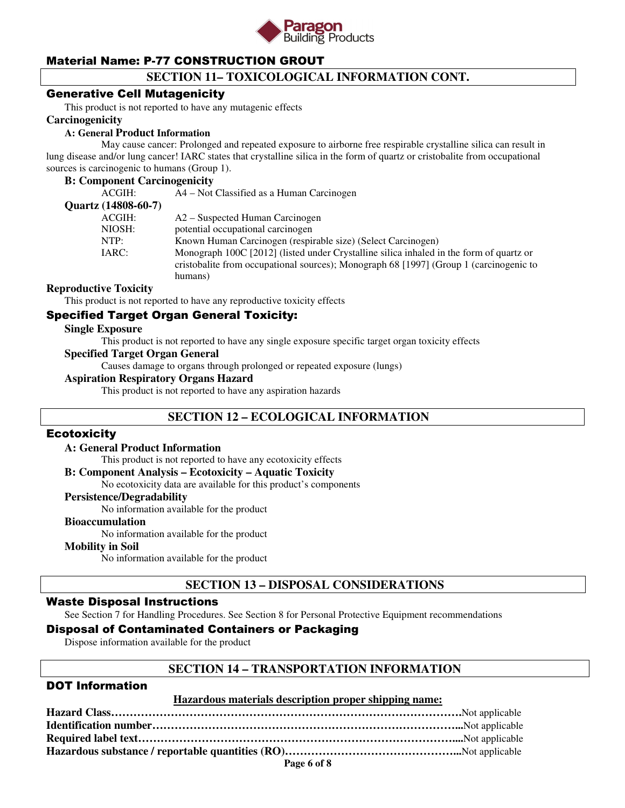

# **SECTION 11– TOXICOLOGICAL INFORMATION CONT.**

#### Generative Cell Mutagenicity

This product is not reported to have any mutagenic effects

#### **Carcinogenicity**

#### **A: General Product Information**

May cause cancer: Prolonged and repeated exposure to airborne free respirable crystalline silica can result in lung disease and/or lung cancer! IARC states that crystalline silica in the form of quartz or cristobalite from occupational sources is carcinogenic to humans (Group 1).

#### **B: Component Carcinogenicity**

| ACGIH:              | A4 – Not Classified as a Human Carcinogen                                               |
|---------------------|-----------------------------------------------------------------------------------------|
| Quartz (14808-60-7) |                                                                                         |
| ACGIH:              | A2 – Suspected Human Carcinogen                                                         |
| NIOSH:              | potential occupational carcinogen                                                       |
| NTP:                | Known Human Carcinogen (respirable size) (Select Carcinogen)                            |
| IARC:               | Monograph 100C [2012] (listed under Crystalline silica inhaled in the form of quartz or |
|                     | cristobalite from occupational sources); Monograph 68 [1997] (Group 1 (carcinogenic to  |
|                     | humans)                                                                                 |
|                     |                                                                                         |

#### **Reproductive Toxicity**

This product is not reported to have any reproductive toxicity effects

# Specified Target Organ General Toxicity:

#### **Single Exposure**

This product is not reported to have any single exposure specific target organ toxicity effects

#### **Specified Target Organ General**

Causes damage to organs through prolonged or repeated exposure (lungs)

#### **Aspiration Respiratory Organs Hazard**

This product is not reported to have any aspiration hazards

# **SECTION 12 – ECOLOGICAL INFORMATION**

#### **Ecotoxicity**

#### **A: General Product Information**

This product is not reported to have any ecotoxicity effects

#### **B: Component Analysis – Ecotoxicity – Aquatic Toxicity**

No ecotoxicity data are available for this product's components

#### **Persistence/Degradability**

No information available for the product

#### **Bioaccumulation**

No information available for the product

#### **Mobility in Soil**

No information available for the product

# **SECTION 13 – DISPOSAL CONSIDERATIONS**

#### Waste Disposal Instructions

See Section 7 for Handling Procedures. See Section 8 for Personal Protective Equipment recommendations

# Disposal of Contaminated Containers or Packaging

Dispose information available for the product

#### **SECTION 14 – TRANSPORTATION INFORMATION**

# DOT Information

#### **Hazardous materials description proper shipping name:**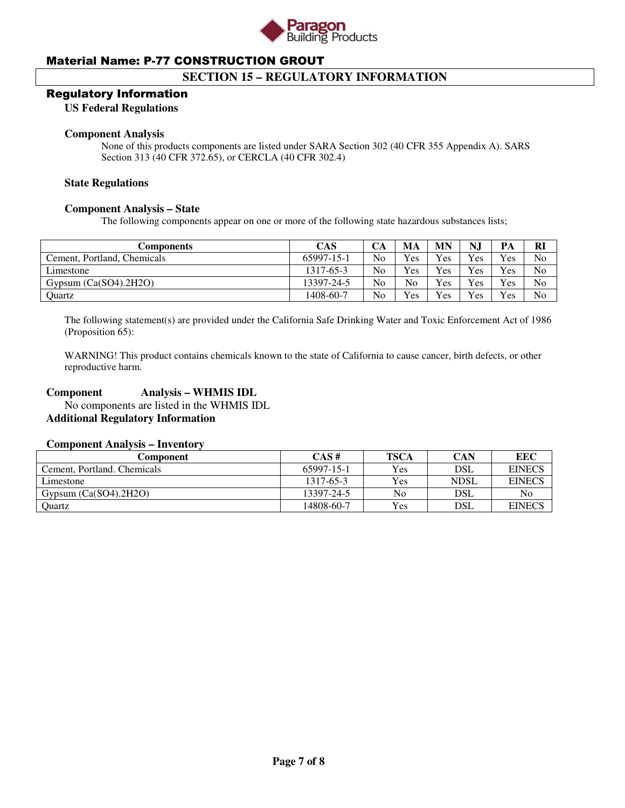

# **SECTION 15 – REGULATORY INFORMATION**

#### Regulatory Information

#### **US Federal Regulations**

#### **Component Analysis**

None of this products components are listed under SARA Section 302 (40 CFR 355 Appendix A). SARS Section 313 (40 CFR 372.65), or CERCLA (40 CFR 302.4)

#### **State Regulations**

#### **Component Analysis – State**

The following components appear on one or more of the following state hazardous substances lists;

| Components                  | <b>CAS</b> | CА             | MA             | MN  | N.  | PА  | <b>RI</b>      |
|-----------------------------|------------|----------------|----------------|-----|-----|-----|----------------|
| Cement, Portland, Chemicals | 65997-15-1 | N <sub>0</sub> | <b>Yes</b>     | Yes | Yes | Yes | N <sub>0</sub> |
| Limestone                   | 1317-65-3  | N <sub>0</sub> | <b>Yes</b>     | Yes | Yes | Yes | No             |
| Gypsum $(Ca(SO4).2H2O)$     | 13397-24-5 | N <sub>o</sub> | N <sub>o</sub> | Yes | Yes | Yes | No             |
| Ouartz                      | 1408-60-7  | No             | <b>Yes</b>     | Yes | Yes | Yes | N <sub>0</sub> |

The following statement(s) are provided under the California Safe Drinking Water and Toxic Enforcement Act of 1986 (Proposition 65):

WARNING! This product contains chemicals known to the state of California to cause cancer, birth defects, or other reproductive harm.

#### **Component Analysis – WHMIS IDL**

 No components are listed in the WHMIS IDL **Additional Regulatory Information** 

#### **Component Analysis – Inventory**

| Component                   | CAS#       | <b>TSCA</b> | CAN         | EEC           |
|-----------------------------|------------|-------------|-------------|---------------|
| Cement, Portland, Chemicals | 65997-15-1 | <b>Yes</b>  | DSL         | <b>EINECS</b> |
| Limestone                   | 1317-65-3  | Yes         | <b>NDSL</b> | <b>EINECS</b> |
| Gypsum $(Ca(SO4), 2H2O)$    | 13397-24-5 | No          | DSL         | No            |
| Quartz                      | 14808-60-7 | Yes         | DSL         | <b>EINECS</b> |